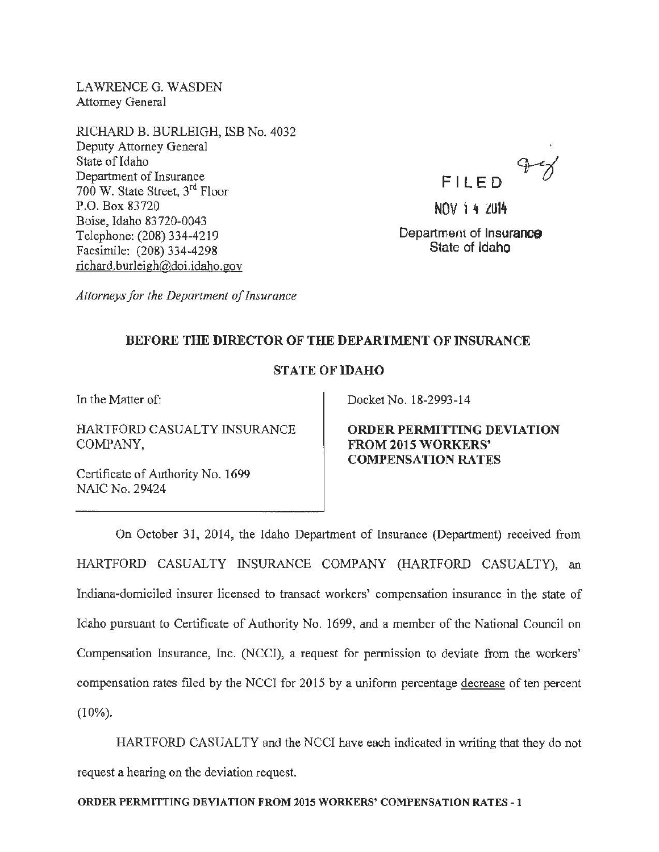LAWRENCE G. WASDEN Attorney General

RICHARD B. BURLEIGH, ISB No. 4032 Deputy Attorney General State of Idaho Department of Insurance 700 W. State Street, 3rd Floor P.O. Box 83720 Boise, Idaho 83720-0043 Telephone: (208) 334-4219 Facsimile: (208) 334-4298 richard.burleigh@doi.idaho.gov

Fl LED

NOV 1 4 2014

Department of Insurance State of Idaho

*Attorneys for the Department of Insurance* 

## BEFORE THE DIRECTOR OF THE DEPARTMENT OF INSURANCE

## STATE OF IDAHO

In the Matter of:

HARTFORD CASUALTY INSURANCE COMPANY,

Certificate of Authority No. 1699 NAIC No. 29424

Docket No. 18-2993-14

ORDER PERMITTING DEVIATION FROM 2015 WORKERS' COMPENSATION RATES

On October 31, 2014, the Idaho Department of Insurance (Department) received from HARTFORD CASUALTY INSURANCE COMPANY (HARTFORD CASUALTY), an Indiana-domiciled insurer licensed to transact workers' compensation insurance in the state of Idaho pursuant to Certificate of Authority No. 1699, and a member of the National Council on Compensation Insurance, Inc. (NCCI), a request for permission to deviate from the workers' compensation rates filed by the NCCI for 2015 by a uniform percentage decrease of ten percent  $(10\%)$ .

HARTFORD CASUALTY and the NCCI have each indicated in writing that they do not request a hearing on the deviation request.

ORDER PERMITTING DEVIATION FROM 2015 WORKERS' COMPENSATION RATES -1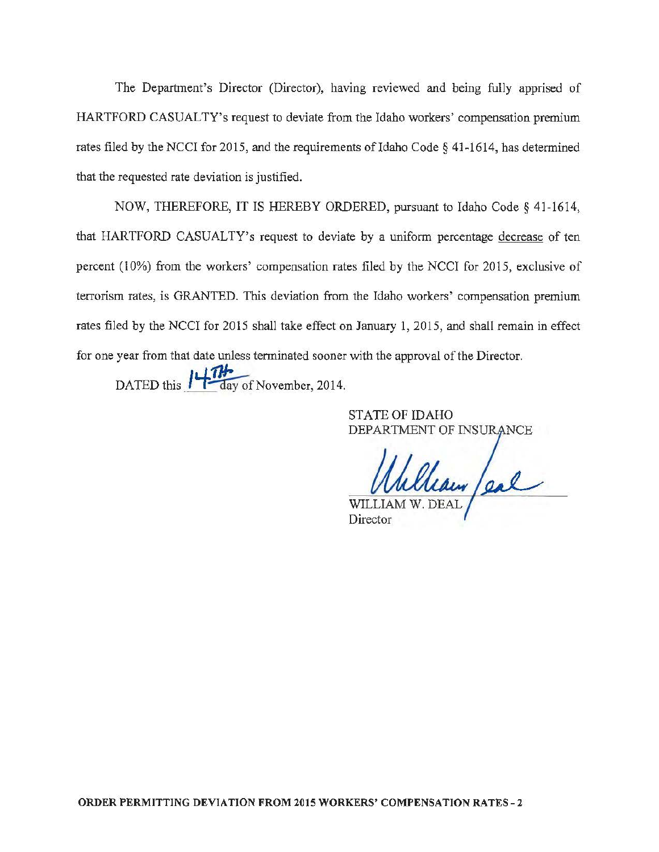The Department's Director (Director), having reviewed and being fully apprised of HARTFORD CASUALTY's request to deviate from the Idaho workers' compensation premium rates filed by the NCCI for 2015, and the requirements of Idaho Code  $\S$  41-1614, has determined that the requested rate deviation is justified.

NOW, THEREFORE, IT IS HEREBY ORDERED, pursuant to Idaho Code§ 41-1614, that HARTFORD CASUALTY's request to deviate by a uniform percentage decrease of ten percent (10%) from the workers' compensation rates filed by the NCCI for 2015, exclusive of terrorism rates, is GRANTED. This deviation from the Idaho workers' compensation premium rates filed by the NCCI for 2015 shall take effect on January 1, 2015, and shall remain in effect for one year from that date unless terminated sooner with the approval of the Director.

DATED this  $\mu$   $\frac{1}{\sqrt{1-\frac{1}{\text{day of November}}}$ , 2014.

STATE OF IDAHO DEPARTMENT OF INSURANCE

Clean /eal

Director